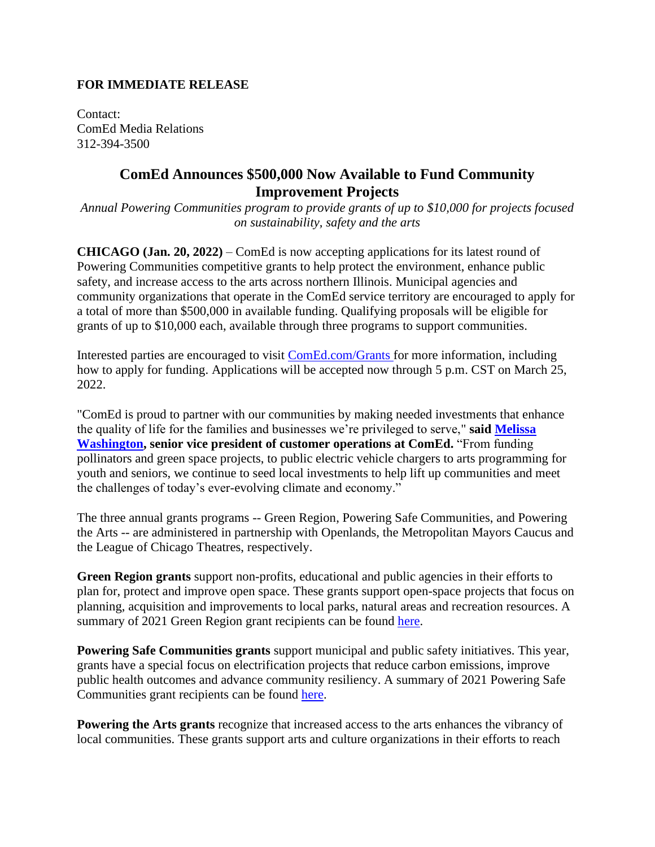## **FOR IMMEDIATE RELEASE**

Contact: ComEd Media Relations 312-394-3500

## **ComEd Announces \$500,000 Now Available to Fund Community Improvement Projects**

*Annual Powering Communities program to provide grants of up to \$10,000 for projects focused on sustainability, safety and the arts*

**CHICAGO (Jan. 20, 2022)** – ComEd is now accepting applications for its latest round of Powering Communities competitive grants to help protect the environment, enhance public safety, and increase access to the arts across northern Illinois. Municipal agencies and community organizations that operate in the ComEd service territory are encouraged to apply for a total of more than \$500,000 in available funding. Qualifying proposals will be eligible for grants of up to \$10,000 each, available through three programs to support communities.

Interested parties are encouraged to visit [ComEd.com/Grants](https://www.comed.com/SafetyCommunity/Community/Pages/CharitableContributions.aspx) for more information, including how to apply for funding. Applications will be accepted now through 5 p.m. CST on March 25, 2022.

"ComEd is proud to partner with our communities by making needed investments that enhance the quality of life for the families and businesses we're privileged to serve," **said [Melissa](https://www.comed.com/AboutUs/Pages/LeadershipValues.aspx)  [Washington,](https://www.comed.com/AboutUs/Pages/LeadershipValues.aspx) senior vice president of customer operations at ComEd.** "From funding pollinators and green space projects, to public electric vehicle chargers to arts programming for youth and seniors, we continue to seed local investments to help lift up communities and meet the challenges of today's ever-evolving climate and economy."

The three annual grants programs -- Green Region, Powering Safe Communities, and Powering the Arts -- are administered in partnership with Openlands, the Metropolitan Mayors Caucus and the League of Chicago Theatres, respectively.

**Green Region grants** support non-profits, educational and public agencies in their efforts to plan for, protect and improve open space. These grants support open-space projects that focus on planning, acquisition and improvements to local parks, natural areas and recreation resources. A summary of 2021 Green Region grant recipients can be found [here.](https://www.comed.com/News/Pages/NewsReleases/2021-07-21.aspx)

**Powering Safe Communities grants** support municipal and public safety initiatives. This year, grants have a special focus on electrification projects that reduce carbon emissions, improve public health outcomes and advance community resiliency. A summary of 2021 Powering Safe Communities grant recipients can be found [here.](https://www.comed.com/News/Pages/NewsReleases/2021-08-10.aspx)

**Powering the Arts grants** recognize that increased access to the arts enhances the vibrancy of local communities. These grants support arts and culture organizations in their efforts to reach